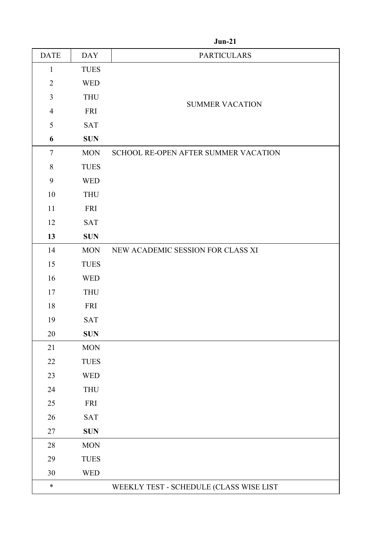| <b>DATE</b>    | <b>DAY</b>  | <b>PARTICULARS</b>                      |
|----------------|-------------|-----------------------------------------|
| $\mathbf{1}$   | <b>TUES</b> |                                         |
| $\overline{2}$ | <b>WED</b>  |                                         |
| 3              | <b>THU</b>  |                                         |
| $\overline{4}$ | <b>FRI</b>  | <b>SUMMER VACATION</b>                  |
| 5              | SAT         |                                         |
| 6              | <b>SUN</b>  |                                         |
| $\tau$         | <b>MON</b>  | SCHOOL RE-OPEN AFTER SUMMER VACATION    |
| $8\,$          | <b>TUES</b> |                                         |
| 9              | <b>WED</b>  |                                         |
| 10             | <b>THU</b>  |                                         |
| 11             | <b>FRI</b>  |                                         |
| 12             | <b>SAT</b>  |                                         |
| 13             | <b>SUN</b>  |                                         |
| 14             | <b>MON</b>  | NEW ACADEMIC SESSION FOR CLASS XI       |
| 15             | <b>TUES</b> |                                         |
| 16             | <b>WED</b>  |                                         |
| 17             | <b>THU</b>  |                                         |
| 18             | FRI         |                                         |
| 19             | SAT         |                                         |
| 20             | <b>SUN</b>  |                                         |
| 21             | <b>MON</b>  |                                         |
| $22\,$         | <b>TUES</b> |                                         |
| 23             | <b>WED</b>  |                                         |
| 24             | <b>THU</b>  |                                         |
| $25\,$         | FRI         |                                         |
| 26             | SAT         |                                         |
| $27\,$         | <b>SUN</b>  |                                         |
| $28\,$         | <b>MON</b>  |                                         |
| 29             | <b>TUES</b> |                                         |
| $30\,$         | <b>WED</b>  |                                         |
| $\ast$         |             | WEEKLY TEST - SCHEDULE (CLASS WISE LIST |

## **Jun-21**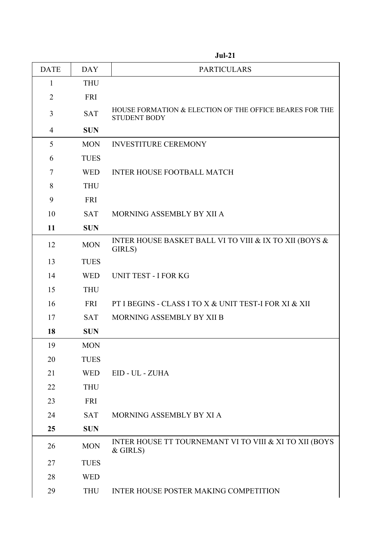| <b>DATE</b>    | <b>DAY</b>  | <b>PARTICULARS</b>                                                             |
|----------------|-------------|--------------------------------------------------------------------------------|
| $\mathbf{1}$   | <b>THU</b>  |                                                                                |
| $\overline{2}$ | <b>FRI</b>  |                                                                                |
| 3              | <b>SAT</b>  | HOUSE FORMATION & ELECTION OF THE OFFICE BEARES FOR THE<br><b>STUDENT BODY</b> |
| $\overline{4}$ | <b>SUN</b>  |                                                                                |
| 5              | <b>MON</b>  | <b>INVESTITURE CEREMONY</b>                                                    |
| 6              | <b>TUES</b> |                                                                                |
| 7              | <b>WED</b>  | <b>INTER HOUSE FOOTBALL MATCH</b>                                              |
| 8              | <b>THU</b>  |                                                                                |
| 9              | <b>FRI</b>  |                                                                                |
| 10             | <b>SAT</b>  | MORNING ASSEMBLY BY XII A                                                      |
| 11             | <b>SUN</b>  |                                                                                |
| 12             | <b>MON</b>  | INTER HOUSE BASKET BALL VI TO VIII & IX TO XII (BOYS &<br>GIRLS)               |
| 13             | <b>TUES</b> |                                                                                |
| 14             | <b>WED</b>  | <b>UNIT TEST - I FOR KG</b>                                                    |
| 15             | <b>THU</b>  |                                                                                |
| 16             | FRI         | PT I BEGINS - CLASS I TO X & UNIT TEST-I FOR XI & XII                          |
| 17             | <b>SAT</b>  | MORNING ASSEMBLY BY XII B                                                      |
| 18             | <b>SUN</b>  |                                                                                |
| 19             | <b>MON</b>  |                                                                                |
| 20             | <b>TUES</b> |                                                                                |
| 21             | <b>WED</b>  | EID - UL - ZUHA                                                                |
| 22             | <b>THU</b>  |                                                                                |
| 23             | <b>FRI</b>  |                                                                                |
| 24             | <b>SAT</b>  | MORNING ASSEMBLY BY XI A                                                       |
| 25             | <b>SUN</b>  |                                                                                |
| 26             | <b>MON</b>  | INTER HOUSE TT TOURNEMANT VI TO VIII & XI TO XII (BOYS<br>$&$ GIRLS)           |
| 27             | <b>TUES</b> |                                                                                |
| 28             | <b>WED</b>  |                                                                                |
| 29             | <b>THU</b>  | <b>INTER HOUSE POSTER MAKING COMPETITION</b>                                   |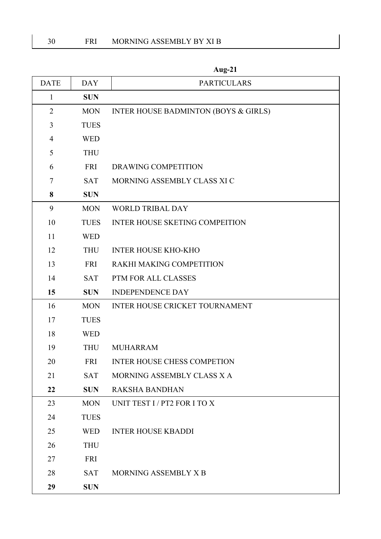| <b>DATE</b>    | <b>DAY</b>  | <b>PARTICULARS</b>                    |
|----------------|-------------|---------------------------------------|
| 1              | <b>SUN</b>  |                                       |
| $\overline{2}$ | <b>MON</b>  | INTER HOUSE BADMINTON (BOYS & GIRLS)  |
| 3              | <b>TUES</b> |                                       |
| $\overline{4}$ | <b>WED</b>  |                                       |
| 5              | <b>THU</b>  |                                       |
| 6              | <b>FRI</b>  | DRAWING COMPETITION                   |
| $\tau$         | <b>SAT</b>  | MORNING ASSEMBLY CLASS XI C           |
| 8              | <b>SUN</b>  |                                       |
| 9              | <b>MON</b>  | <b>WORLD TRIBAL DAY</b>               |
| 10             | <b>TUES</b> | <b>INTER HOUSE SKETING COMPEITION</b> |
| 11             | <b>WED</b>  |                                       |
| 12             | <b>THU</b>  | <b>INTER HOUSE KHO-KHO</b>            |
| 13             | FRI         | RAKHI MAKING COMPETITION              |
| 14             | <b>SAT</b>  | PTM FOR ALL CLASSES                   |
| 15             | <b>SUN</b>  | <b>INDEPENDENCE DAY</b>               |
| 16             | <b>MON</b>  | <b>INTER HOUSE CRICKET TOURNAMENT</b> |
| 17             | <b>TUES</b> |                                       |
| 18             | <b>WED</b>  |                                       |
| 19             | <b>THU</b>  | <b>MUHARRAM</b>                       |
| 20             | <b>FRI</b>  | INTER HOUSE CHESS COMPETION           |
| 21             | <b>SAT</b>  | MORNING ASSEMBLY CLASS X A            |
| 22             | <b>SUN</b>  | <b>RAKSHA BANDHAN</b>                 |
| 23             | <b>MON</b>  | UNIT TEST I / PT2 FOR I TO X          |
| 24             | <b>TUES</b> |                                       |
| 25             | <b>WED</b>  | <b>INTER HOUSE KBADDI</b>             |
| 26             | <b>THU</b>  |                                       |
| 27             | <b>FRI</b>  |                                       |
| 28             | <b>SAT</b>  | MORNING ASSEMBLY X B                  |
| 29             | <b>SUN</b>  |                                       |

**Aug-21**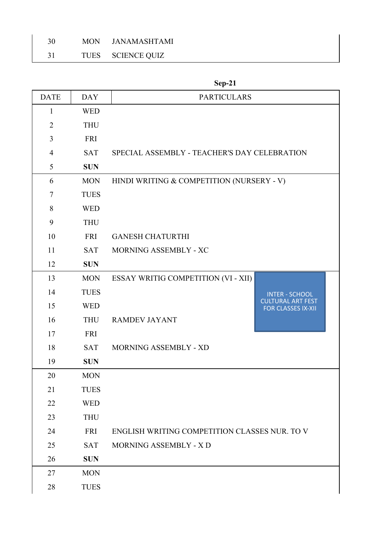TUES SCIENCE QUIZ

| <b>DATE</b>    | <b>DAY</b>  | <b>PARTICULARS</b>                            |                                                       |
|----------------|-------------|-----------------------------------------------|-------------------------------------------------------|
| $\mathbf{1}$   | <b>WED</b>  |                                               |                                                       |
| $\overline{2}$ | <b>THU</b>  |                                               |                                                       |
| 3              | <b>FRI</b>  |                                               |                                                       |
| $\overline{4}$ | <b>SAT</b>  | SPECIAL ASSEMBLY - TEACHER'S DAY CELEBRATION  |                                                       |
| 5              | <b>SUN</b>  |                                               |                                                       |
| 6              | <b>MON</b>  | HINDI WRITING & COMPETITION (NURSERY - V)     |                                                       |
| $\tau$         | <b>TUES</b> |                                               |                                                       |
| 8              | <b>WED</b>  |                                               |                                                       |
| 9              | <b>THU</b>  |                                               |                                                       |
| 10             | <b>FRI</b>  | <b>GANESH CHATURTHI</b>                       |                                                       |
| 11             | <b>SAT</b>  | MORNING ASSEMBLY - XC                         |                                                       |
| 12             | <b>SUN</b>  |                                               |                                                       |
| 13             | <b>MON</b>  | ESSAY WRITIG COMPETITION (VI - XII)           |                                                       |
| 14             | <b>TUES</b> |                                               | <b>INTER - SCHOOL</b>                                 |
| 15             | <b>WED</b>  |                                               | <b>CULTURAL ART FEST</b><br><b>FOR CLASSES IX-XII</b> |
| 16             | <b>THU</b>  | <b>RAMDEV JAYANT</b>                          |                                                       |
| 17             | <b>FRI</b>  |                                               |                                                       |
| 18             | <b>SAT</b>  | MORNING ASSEMBLY - XD                         |                                                       |
| 19             | <b>SUN</b>  |                                               |                                                       |
| 20             | <b>MON</b>  |                                               |                                                       |
| 21             | <b>TUES</b> |                                               |                                                       |
| 22             | <b>WED</b>  |                                               |                                                       |
| 23             | <b>THU</b>  |                                               |                                                       |
| 24             | <b>FRI</b>  | ENGLISH WRITING COMPETITION CLASSES NUR. TO V |                                                       |
| 25             | <b>SAT</b>  | MORNING ASSEMBLY - X D                        |                                                       |
| 26             | <b>SUN</b>  |                                               |                                                       |
| 27             | <b>MON</b>  |                                               |                                                       |
| 28             | <b>TUES</b> |                                               |                                                       |

**Sep-21**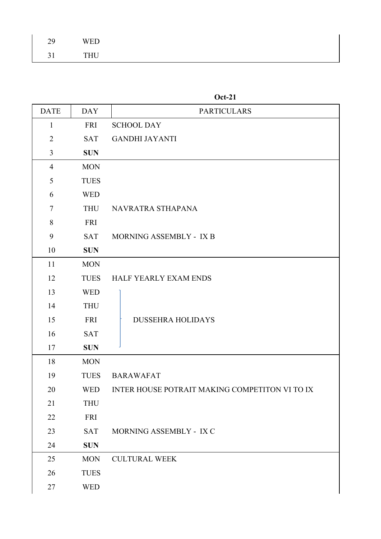| 29 | <b>WED</b> |
|----|------------|
| 31 | <b>THU</b> |

| <b>DATE</b>    | <b>DAY</b>  | <b>PARTICULARS</b>                             |
|----------------|-------------|------------------------------------------------|
| $\mathbf{1}$   | <b>FRI</b>  | <b>SCHOOL DAY</b>                              |
| $\overline{2}$ | <b>SAT</b>  | <b>GANDHI JAYANTI</b>                          |
| 3              | <b>SUN</b>  |                                                |
| $\overline{4}$ | <b>MON</b>  |                                                |
| 5              | <b>TUES</b> |                                                |
| 6              | <b>WED</b>  |                                                |
| $\tau$         | <b>THU</b>  | NAVRATRA STHAPANA                              |
| 8              | <b>FRI</b>  |                                                |
| 9              | <b>SAT</b>  | MORNING ASSEMBLY - IX B                        |
| 10             | <b>SUN</b>  |                                                |
| 11             | <b>MON</b>  |                                                |
| 12             | <b>TUES</b> | HALF YEARLY EXAM ENDS                          |
| 13             | <b>WED</b>  |                                                |
| 14             | <b>THU</b>  |                                                |
| 15             | <b>FRI</b>  | <b>DUSSEHRA HOLIDAYS</b>                       |
| 16             | <b>SAT</b>  |                                                |
| 17             | <b>SUN</b>  |                                                |
| 18             | <b>MON</b>  |                                                |
| 19             | <b>TUES</b> | <b>BARAWAFAT</b>                               |
| 20             | <b>WED</b>  | INTER HOUSE POTRAIT MAKING COMPETITON VI TO IX |
| 21             | <b>THU</b>  |                                                |
| 22             | FRI         |                                                |
| 23             | <b>SAT</b>  | MORNING ASSEMBLY - IX C                        |
| 24             | <b>SUN</b>  |                                                |
| 25             | <b>MON</b>  | <b>CULTURAL WEEK</b>                           |
| 26             | <b>TUES</b> |                                                |
| 27             | <b>WED</b>  |                                                |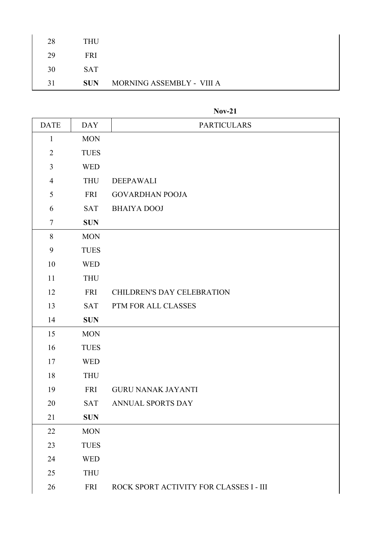| 28 | <b>THU</b> |                           |
|----|------------|---------------------------|
| 29 | FRI.       |                           |
| 30 | <b>SAT</b> |                           |
| 31 | <b>SUN</b> | MORNING ASSEMBLY - VIII A |

## **Nov-21**

| <b>DATE</b>    | <b>DAY</b>  | <b>PARTICULARS</b>                      |
|----------------|-------------|-----------------------------------------|
| $\mathbf{1}$   | <b>MON</b>  |                                         |
| $\overline{2}$ | <b>TUES</b> |                                         |
| $\mathfrak{Z}$ | <b>WED</b>  |                                         |
| $\overline{4}$ | <b>THU</b>  | <b>DEEPAWALI</b>                        |
| 5              | <b>FRI</b>  | <b>GOVARDHAN POOJA</b>                  |
| 6              | <b>SAT</b>  | <b>BHAIYA DOOJ</b>                      |
| $\overline{7}$ | <b>SUN</b>  |                                         |
| $8\,$          | <b>MON</b>  |                                         |
| 9              | <b>TUES</b> |                                         |
| 10             | <b>WED</b>  |                                         |
| 11             | <b>THU</b>  |                                         |
| 12             | <b>FRI</b>  | <b>CHILDREN'S DAY CELEBRATION</b>       |
| 13             | <b>SAT</b>  | PTM FOR ALL CLASSES                     |
| 14             | <b>SUN</b>  |                                         |
| 15             | <b>MON</b>  |                                         |
| 16             | <b>TUES</b> |                                         |
| 17             | <b>WED</b>  |                                         |
| 18             | <b>THU</b>  |                                         |
| 19             | FRI         | <b>GURU NANAK JAYANTI</b>               |
| 20             | <b>SAT</b>  | ANNUAL SPORTS DAY                       |
| 21             | <b>SUN</b>  |                                         |
| 22             | <b>MON</b>  |                                         |
| 23             | <b>TUES</b> |                                         |
| 24             | <b>WED</b>  |                                         |
| 25             | <b>THU</b>  |                                         |
| 26             | <b>FRI</b>  | ROCK SPORT ACTIVITY FOR CLASSES I - III |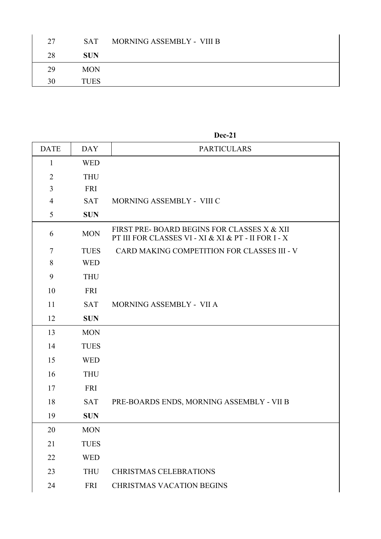| 27 | <b>SAT</b>  | MORNING ASSEMBLY - VIII B |
|----|-------------|---------------------------|
| 28 | <b>SUN</b>  |                           |
| 29 | <b>MON</b>  |                           |
| 30 | <b>TUES</b> |                           |

## **Dec-21**

| <b>DATE</b>    | <b>DAY</b>  | <b>PARTICULARS</b>                                                                                |
|----------------|-------------|---------------------------------------------------------------------------------------------------|
| $\mathbf{1}$   | <b>WED</b>  |                                                                                                   |
| $\overline{2}$ | <b>THU</b>  |                                                                                                   |
| 3              | <b>FRI</b>  |                                                                                                   |
| $\overline{4}$ | <b>SAT</b>  | MORNING ASSEMBLY - VIII C                                                                         |
| 5              | <b>SUN</b>  |                                                                                                   |
| 6              | <b>MON</b>  | FIRST PRE-BOARD BEGINS FOR CLASSES X & XII<br>PT III FOR CLASSES VI - XI & XI & PT - II FOR I - X |
| $\overline{7}$ | <b>TUES</b> | CARD MAKING COMPETITION FOR CLASSES III - V                                                       |
| 8              | <b>WED</b>  |                                                                                                   |
| 9              | <b>THU</b>  |                                                                                                   |
| 10             | <b>FRI</b>  |                                                                                                   |
| 11             | <b>SAT</b>  | MORNING ASSEMBLY - VII A                                                                          |
| 12             | <b>SUN</b>  |                                                                                                   |
| 13             | <b>MON</b>  |                                                                                                   |
| 14             | <b>TUES</b> |                                                                                                   |
| 15             | <b>WED</b>  |                                                                                                   |
| 16             | <b>THU</b>  |                                                                                                   |
| 17             | FRI         |                                                                                                   |
| 18             | <b>SAT</b>  | PRE-BOARDS ENDS, MORNING ASSEMBLY - VII B                                                         |
| 19             | <b>SUN</b>  |                                                                                                   |
| 20             | <b>MON</b>  |                                                                                                   |
| 21             | <b>TUES</b> |                                                                                                   |
| 22             | <b>WED</b>  |                                                                                                   |
| 23             | <b>THU</b>  | <b>CHRISTMAS CELEBRATIONS</b>                                                                     |
| 24             | <b>FRI</b>  | <b>CHRISTMAS VACATION BEGINS</b>                                                                  |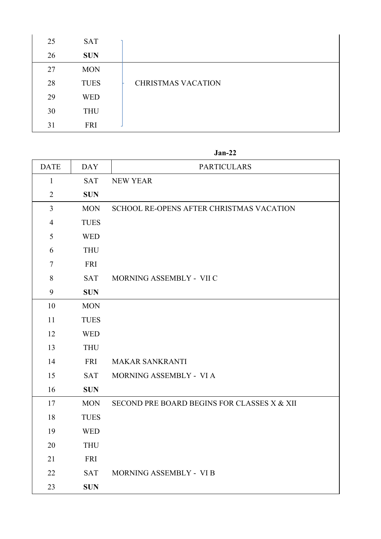| 25 | <b>SAT</b>  |                           |
|----|-------------|---------------------------|
| 26 | <b>SUN</b>  |                           |
| 27 | <b>MON</b>  |                           |
| 28 | <b>TUES</b> | <b>CHRISTMAS VACATION</b> |
| 29 | <b>WED</b>  |                           |
| 30 | <b>THU</b>  |                           |
| 31 | <b>FRI</b>  |                           |

## **Jan-22**

| <b>DATE</b>    | <b>DAY</b>  | <b>PARTICULARS</b>                          |
|----------------|-------------|---------------------------------------------|
| $\mathbf{1}$   | <b>SAT</b>  | <b>NEW YEAR</b>                             |
| $\overline{2}$ | <b>SUN</b>  |                                             |
| $\overline{3}$ | <b>MON</b>  | SCHOOL RE-OPENS AFTER CHRISTMAS VACATION    |
| $\overline{4}$ | <b>TUES</b> |                                             |
| 5              | <b>WED</b>  |                                             |
| 6              | <b>THU</b>  |                                             |
| $\overline{7}$ | <b>FRI</b>  |                                             |
| 8              | <b>SAT</b>  | MORNING ASSEMBLY - VII C                    |
| 9              | <b>SUN</b>  |                                             |
| 10             | <b>MON</b>  |                                             |
| 11             | <b>TUES</b> |                                             |
| 12             | <b>WED</b>  |                                             |
| 13             | <b>THU</b>  |                                             |
| 14             | <b>FRI</b>  | <b>MAKAR SANKRANTI</b>                      |
| 15             | <b>SAT</b>  | MORNING ASSEMBLY - VI A                     |
| 16             | <b>SUN</b>  |                                             |
| 17             | <b>MON</b>  | SECOND PRE BOARD BEGINS FOR CLASSES X & XII |
| 18             | <b>TUES</b> |                                             |
| 19             | <b>WED</b>  |                                             |
| 20             | <b>THU</b>  |                                             |
| 21             | <b>FRI</b>  |                                             |
| 22             | <b>SAT</b>  | MORNING ASSEMBLY - VI B                     |
| 23             | <b>SUN</b>  |                                             |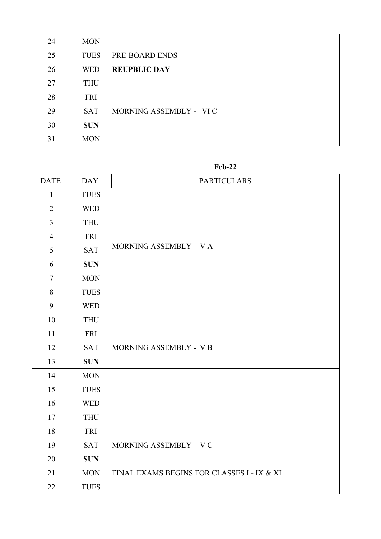| 24 | <b>MON</b>  |                        |
|----|-------------|------------------------|
| 25 | <b>TUES</b> | PRE-BOARD ENDS         |
| 26 | <b>WED</b>  | <b>REUPBLIC DAY</b>    |
| 27 | <b>THU</b>  |                        |
| 28 | <b>FRI</b>  |                        |
| 29 | <b>SAT</b>  | MORNING ASSEMBLY - VIC |
| 30 | <b>SUN</b>  |                        |
| 31 | <b>MON</b>  |                        |

**Feb-22**

| <b>DATE</b>    | <b>DAY</b>  | <b>PARTICULARS</b>                         |
|----------------|-------------|--------------------------------------------|
| $\mathbf{1}$   | <b>TUES</b> |                                            |
| $\overline{2}$ | <b>WED</b>  |                                            |
| $\overline{3}$ | <b>THU</b>  |                                            |
| $\overline{4}$ | FRI         |                                            |
| 5              | <b>SAT</b>  | MORNING ASSEMBLY - VA                      |
| 6              | <b>SUN</b>  |                                            |
| $\overline{7}$ | <b>MON</b>  |                                            |
| $\,8\,$        | <b>TUES</b> |                                            |
| 9              | <b>WED</b>  |                                            |
| 10             | <b>THU</b>  |                                            |
| 11             | FRI         |                                            |
| 12             | <b>SAT</b>  | MORNING ASSEMBLY - VB                      |
| 13             | <b>SUN</b>  |                                            |
| 14             | <b>MON</b>  |                                            |
| 15             | <b>TUES</b> |                                            |
| 16             | <b>WED</b>  |                                            |
| 17             | <b>THU</b>  |                                            |
| 18             | FRI         |                                            |
| 19             | <b>SAT</b>  | MORNING ASSEMBLY - VC                      |
| 20             | <b>SUN</b>  |                                            |
| 21             | <b>MON</b>  | FINAL EXAMS BEGINS FOR CLASSES I - IX & XI |
| 22             | <b>TUES</b> |                                            |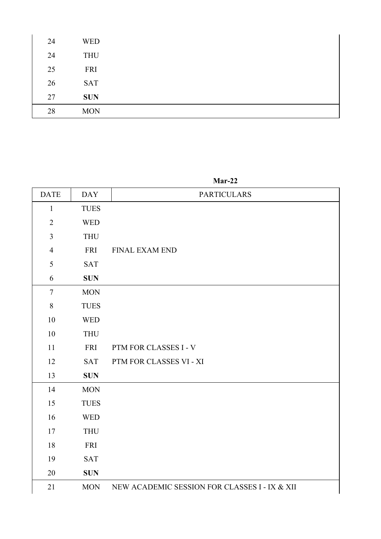| 24 | <b>WED</b> |
|----|------------|
| 24 | <b>THU</b> |
| 25 | FRI        |
| 26 | <b>SAT</b> |
| 27 | <b>SUN</b> |
| 28 | <b>MON</b> |

**Mar-22**

| <b>DATE</b>    | <b>DAY</b>  | <b>PARTICULARS</b>                            |
|----------------|-------------|-----------------------------------------------|
| $\mathbf{1}$   | <b>TUES</b> |                                               |
| $\overline{2}$ | <b>WED</b>  |                                               |
| $\overline{3}$ | <b>THU</b>  |                                               |
| $\overline{4}$ | <b>FRI</b>  | FINAL EXAM END                                |
| 5              | <b>SAT</b>  |                                               |
| 6              | <b>SUN</b>  |                                               |
| $\overline{7}$ | <b>MON</b>  |                                               |
| $8\,$          | <b>TUES</b> |                                               |
| 10             | <b>WED</b>  |                                               |
| 10             | <b>THU</b>  |                                               |
| 11             | <b>FRI</b>  | PTM FOR CLASSES I - V                         |
| 12             | <b>SAT</b>  | PTM FOR CLASSES VI - XI                       |
| 13             | <b>SUN</b>  |                                               |
| 14             | <b>MON</b>  |                                               |
| 15             | <b>TUES</b> |                                               |
| 16             | <b>WED</b>  |                                               |
| 17             | <b>THU</b>  |                                               |
| 18             | <b>FRI</b>  |                                               |
| 19             | <b>SAT</b>  |                                               |
| 20             | <b>SUN</b>  |                                               |
| 21             | <b>MON</b>  | NEW ACADEMIC SESSION FOR CLASSES I - IX & XII |